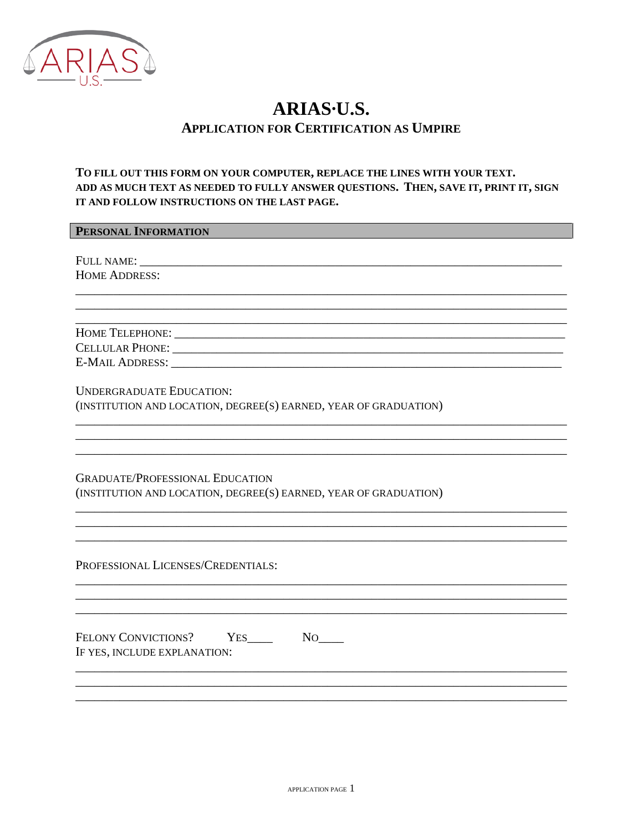

# ARIAS-U.S. **APPLICATION FOR CERTIFICATION AS UMPIRE**

# TO FILL OUT THIS FORM ON YOUR COMPUTER, REPLACE THE LINES WITH YOUR TEXT. ADD AS MUCH TEXT AS NEEDED TO FULLY ANSWER QUESTIONS. THEN, SAVE IT, PRINT IT, SIGN IT AND FOLLOW INSTRUCTIONS ON THE LAST PAGE.

#### **PERSONAL INFORMATION**

FULL NAME: HOME ADDRESS:

**CELLULAR PHONE:** THE RESERVE THAT THE RESERVE THAT THE RESERVE THAT THE RESERVE THAT THE RESERVE THAT THE RESERVE THAT THE RESERVE THAT THE RESERVE THAT THE RESERVE THAT THE RESERVE THAT THE RESERVE THAT THE RESERVE THAT **E-MAIL ADDRESS:** 

**UNDERGRADUATE EDUCATION:** (INSTITUTION AND LOCATION, DEGREE(S) EARNED, YEAR OF GRADUATION)

**GRADUATE/PROFESSIONAL EDUCATION** (INSTITUTION AND LOCATION, DEGREE(S) EARNED, YEAR OF GRADUATION)

PROFESSIONAL LICENSES/CREDENTIALS:

IF YES, INCLUDE EXPLANATION: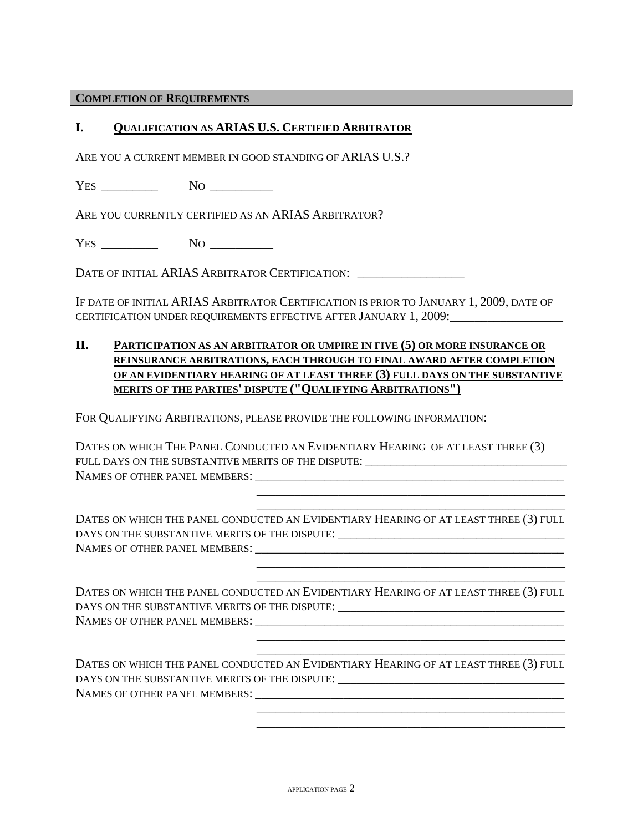#### **COMPLETION OF REQUIREMENTS**

### **I. QUALIFICATION AS ARIAS U.S. CERTIFIED ARBITRATOR**

ARE YOU A CURRENT MEMBER IN GOOD STANDING OF ARIAS U.S.?

YES \_\_\_\_\_\_\_\_\_ NO \_\_\_\_\_\_\_\_\_\_

ARE YOU CURRENTLY CERTIFIED AS AN ARIAS ARBITRATOR?

YES NO NO

DATE OF INITIAL ARIAS ARBITRATOR CERTIFICATION:

IF DATE OF INITIAL ARIAS ARBITRATOR CERTIFICATION IS PRIOR TO JANUARY 1, 2009, DATE OF CERTIFICATION UNDER REQUIREMENTS EFFECTIVE AFTER JANUARY 1, 2009:\_\_\_\_\_\_\_\_\_\_\_\_\_\_\_\_\_\_

# **II. PARTICIPATION AS AN ARBITRATOR OR UMPIRE IN FIVE (5) OR MORE INSURANCE OR REINSURANCE ARBITRATIONS, EACH THROUGH TO FINAL AWARD AFTER COMPLETION OF AN EVIDENTIARY HEARING OF AT LEAST THREE (3) FULL DAYS ON THE SUBSTANTIVE MERITS OF THE PARTIES' DISPUTE ("QUALIFYING ARBITRATIONS")**

FOR QUALIFYING ARBITRATIONS, PLEASE PROVIDE THE FOLLOWING INFORMATION:

DATES ON WHICH THE PANEL CONDUCTED AN EVIDENTIARY HEARING OF AT LEAST THREE (3) FULL DAYS ON THE SUBSTANTIVE MERITS OF THE DISPUTE: \_\_\_\_\_\_\_\_\_\_\_\_\_\_\_\_\_\_\_\_\_\_\_\_\_\_\_\_ NAMES OF OTHER PANEL MEMBERS:

DATES ON WHICH THE PANEL CONDUCTED AN EVIDENTIARY HEARING OF AT LEAST THREE (3) FULL DAYS ON THE SUBSTANTIVE MERITS OF THE DISPUTE:  $\blacksquare$ NAMES OF OTHER PANEL MEMBERS:

 \_\_\_\_\_\_\_\_\_\_\_\_\_\_\_\_\_\_\_\_\_\_\_\_\_\_\_\_\_\_\_\_\_\_\_\_\_\_\_\_\_\_\_\_\_\_\_\_\_ \_\_\_\_\_\_\_\_\_\_\_\_\_\_\_\_\_\_\_\_\_\_\_\_\_\_\_\_\_\_\_\_\_\_\_\_\_\_\_\_\_\_\_\_\_\_\_\_\_

 \_\_\_\_\_\_\_\_\_\_\_\_\_\_\_\_\_\_\_\_\_\_\_\_\_\_\_\_\_\_\_\_\_\_\_\_\_\_\_\_\_\_\_\_\_\_\_\_\_ \_\_\_\_\_\_\_\_\_\_\_\_\_\_\_\_\_\_\_\_\_\_\_\_\_\_\_\_\_\_\_\_\_\_\_\_\_\_\_\_\_\_\_\_\_\_\_\_\_

 \_\_\_\_\_\_\_\_\_\_\_\_\_\_\_\_\_\_\_\_\_\_\_\_\_\_\_\_\_\_\_\_\_\_\_\_\_\_\_\_\_\_\_\_\_\_\_\_\_ \_\_\_\_\_\_\_\_\_\_\_\_\_\_\_\_\_\_\_\_\_\_\_\_\_\_\_\_\_\_\_\_\_\_\_\_\_\_\_\_\_\_\_\_\_\_\_\_\_

 \_\_\_\_\_\_\_\_\_\_\_\_\_\_\_\_\_\_\_\_\_\_\_\_\_\_\_\_\_\_\_\_\_\_\_\_\_\_\_\_\_\_\_\_\_\_\_\_\_ \_\_\_\_\_\_\_\_\_\_\_\_\_\_\_\_\_\_\_\_\_\_\_\_\_\_\_\_\_\_\_\_\_\_\_\_\_\_\_\_\_\_\_\_\_\_\_\_\_

DATES ON WHICH THE PANEL CONDUCTED AN EVIDENTIARY HEARING OF AT LEAST THREE (3) FULL DAYS ON THE SUBSTANTIVE MERITS OF THE DISPUTE: \_\_\_\_\_\_\_\_\_\_\_\_\_\_\_\_\_\_\_\_\_\_\_\_\_\_\_\_\_\_\_\_\_\_ NAMES OF OTHER PANEL MEMBERS: \_\_\_\_\_\_\_\_\_\_\_\_\_\_\_\_\_\_\_\_\_\_\_\_\_\_\_\_\_\_\_\_\_\_\_\_\_\_\_\_\_\_\_\_\_\_\_\_\_

DATES ON WHICH THE PANEL CONDUCTED AN EVIDENTIARY HEARING OF AT LEAST THREE (3) FULL DAYS ON THE SUBSTANTIVE MERITS OF THE DISPUTE: \_\_\_\_\_\_\_\_\_\_\_\_\_\_\_\_\_\_\_\_\_\_\_\_\_\_\_\_\_\_\_\_\_ NAMES OF OTHER PANEL MEMBERS: